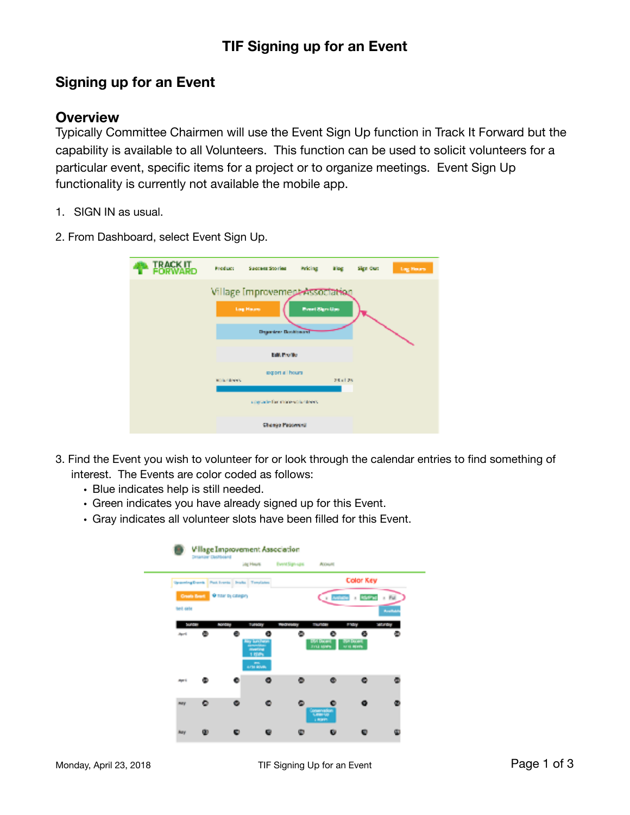## **TIF Signing up for an Event**

## **Signing up for an Event**

## **Overview**

Typically Committee Chairmen will use the Event Sign Up function in Track It Forward but the capability is available to all Volunteers. This function can be used to solicit volunteers for a particular event, specific items for a project or to organize meetings. Event Sign Up functionality is currently not available the mobile app.

- 1. SIGN IN as usual.
- 2. From Dashboard, select Event Sign Up.

| <b>IRACKIT</b> | <b>Product</b>           | Success Stories                                                                    | Pricing               | it log   | Sign Out | Log Hours |  |  |  |
|----------------|--------------------------|------------------------------------------------------------------------------------|-----------------------|----------|----------|-----------|--|--|--|
|                |                          | Village Improvement Association<br><b>Lag Hause</b><br><b>Departem Dischionard</b> | <b>Breat Sign Ups</b> |          |          |           |  |  |  |
| East Profile   |                          |                                                                                    |                       |          |          |           |  |  |  |
|                | <b>Michael Alexandro</b> | export all hours                                                                   |                       | 28.61.25 |          |           |  |  |  |
|                |                          | ungrade for more with nivers.                                                      |                       |          |          |           |  |  |  |
|                |                          | Change Peatewest                                                                   |                       |          |          |           |  |  |  |

- 3. Find the Event you wish to volunteer for or look through the calendar entries to find something of interest. The Events are color coded as follows:
	- Blue indicates help is still needed.
	- Green indicates you have already signed up for this Event.
	- Gray indicates all volunteer slots have been filled for this Event.

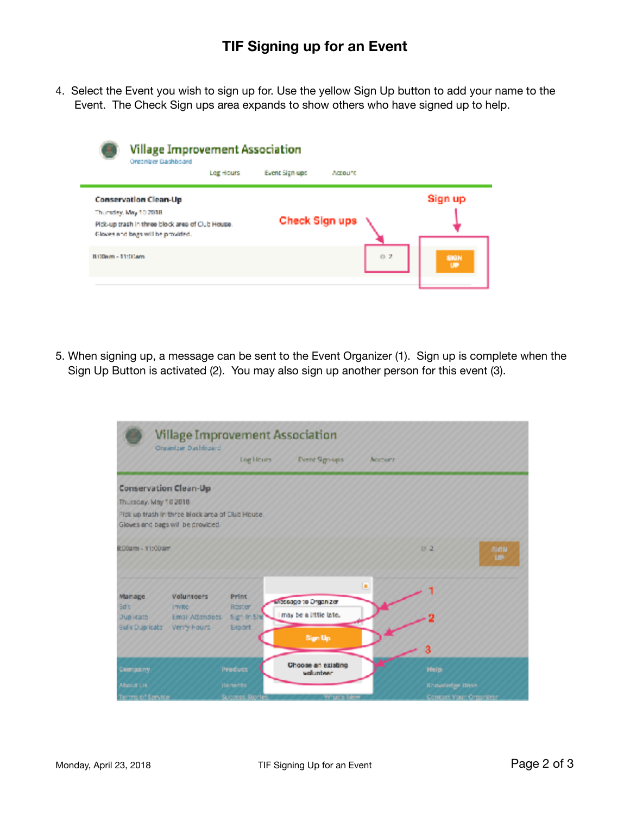4. Select the Event you wish to sign up for. Use the yellow Sign Up button to add your name to the Event. The Check Sign ups area expands to show others who have signed up to help.

|                   | <b>Village Improvement Association</b><br>Organizer Bashboard |           |                |          |     |            |
|-------------------|---------------------------------------------------------------|-----------|----------------|----------|-----|------------|
|                   |                                                               | Log Hours | Event Sign-ups | Account. |     |            |
|                   | <b>Conservation Clean-Up</b>                                  |           |                |          |     | Sign up    |
|                   | Thursday, May 10 2018                                         |           |                |          |     |            |
|                   | Pick-up trash in three block area of Club House.              |           | Check Sign ups |          |     |            |
|                   | Gloves and begs will be provided.                             |           |                |          |     |            |
| B330am - 11:Stiam |                                                               |           |                |          | 0.7 | SIGN<br>UP |
|                   |                                                               |           |                |          |     |            |

5. When signing up, a message can be sent to the Event Organizer (1). Sign up is complete when the Sign Up Button is activated (2). You may also sign up another person for this event (3).

|                                           | Organizar Dashboard                                                                   | <b>Village Improvement Association</b> |                                 |         |                        |                          |
|-------------------------------------------|---------------------------------------------------------------------------------------|----------------------------------------|---------------------------------|---------|------------------------|--------------------------|
|                                           |                                                                                       | Log Hours                              | <b>Event Signups</b>            | Account |                        |                          |
| Conservation Clean-Up                     |                                                                                       |                                        |                                 |         |                        |                          |
| Thursday, May 10 2018                     |                                                                                       |                                        |                                 |         |                        |                          |
|                                           | Pick up trash in three block area of Club House.<br>Gloves and bags will be provided. |                                        |                                 |         |                        |                          |
| R:00am - 11:00am                          |                                                                                       |                                        |                                 |         | 02                     | <b>SIGN</b><br><b>UP</b> |
| Manage<br><b>Sdit</b>                     | <b>Valunteers</b><br><b>Invite</b>                                                    | <b>Print</b><br>Roster                 | witeagono Organizer             | ×       |                        |                          |
| <b>Duplicate</b><br><b>Bulk Dup loate</b> | Email Attendees<br>Verry Fours                                                        | Signific Sho<br>Export                 | may be a little late.           |         |                        |                          |
|                                           |                                                                                       |                                        | Sign Up                         |         | 3                      |                          |
| Company                                   |                                                                                       | <b>Product</b>                         | Choose an existing<br>volunteer |         | Help                   |                          |
| About Lis.                                |                                                                                       | <b>Benefits</b>                        |                                 |         | <b>Knowledge Bron</b>  |                          |
| Terms of Service                          |                                                                                       | <b>Success Stort</b>                   | What's New                      |         | Contact Your Organizer |                          |